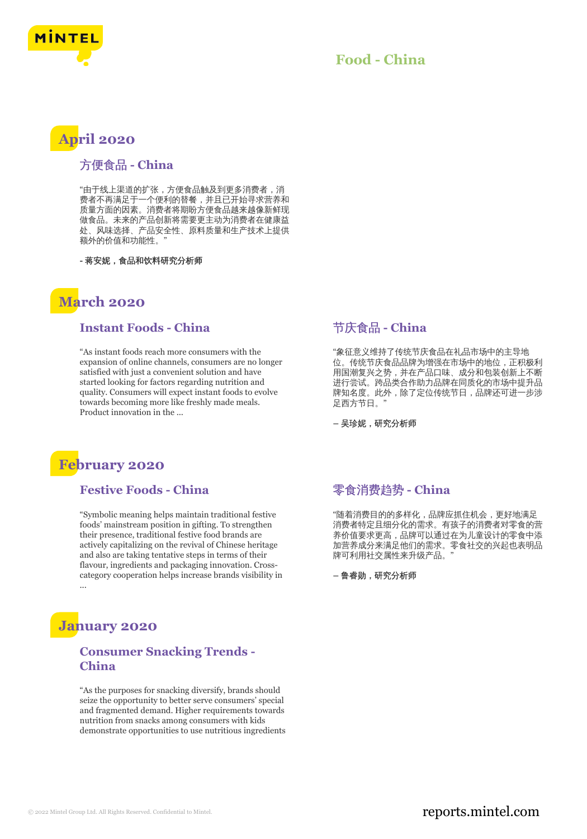

### **Food - China**

# **April 2020**

#### 方便食品 **- China**

"由于线上渠道的扩张,方便食品触及到更多消费者,消 费者不再满足于一个便利的替餐,并且已开始寻求营养和 质量方面的因素。消费者将期盼方便食品越来越像新鲜现 做食品。未来的产品创新将需要更主动为消费者在健康益 处、风味选择、产品安全性、原料质量和生产技术上提供 额外的价值和功能性。"

**-** 蒋安妮,食品和饮料研究分析师

# **March 2020**

#### **Instant Foods - China**

"As instant foods reach more consumers with the expansion of online channels, consumers are no longer satisfied with just a convenient solution and have started looking for factors regarding nutrition and quality. Consumers will expect instant foods to evolve towards becoming more like freshly made meals. Product innovation in the ...

## **February 2020**

#### **Festive Foods - China**

"Symbolic meaning helps maintain traditional festive foods' mainstream position in gifting. To strengthen their presence, traditional festive food brands are actively capitalizing on the revival of Chinese heritage and also are taking tentative steps in terms of their flavour, ingredients and packaging innovation. Crosscategory cooperation helps increase brands visibility in ...

## **January 2020**

#### **Consumer Snacking Trends - China**

"As the purposes for snacking diversify, brands should seize the opportunity to better serve consumers' special and fragmented demand. Higher requirements towards nutrition from snacks among consumers with kids demonstrate opportunities to use nutritious ingredients

#### 节庆食品 **- China**

"象征意义维持了传统节庆食品在礼品市场中的主导地 位。传统节庆食品品牌为增强在市场中的地位,正积极利 用国潮复兴之势,并在产品口味、成分和包装创新上不断 进行尝试。跨品类合作助力品牌在同质化的市场中提升品 牌知名度。此外,除了定位传统节日,品牌还可进一步涉 足西方节日。"

**–** 吴珍妮,研究分析师

## 零食消费趋势 **- China**

"随着消费目的的多样化,品牌应抓住机会,更好地满足 消费者特定且细分化的需求。有孩子的消费者对零食的营 养价值要求更高,品牌可以通过在为儿童设计的零食中添 加营养成分来满足他们的需求。零食社交的兴起也表明品 牌可利用社交属性来升级产品。

**–** 鲁睿勋,研究分析师